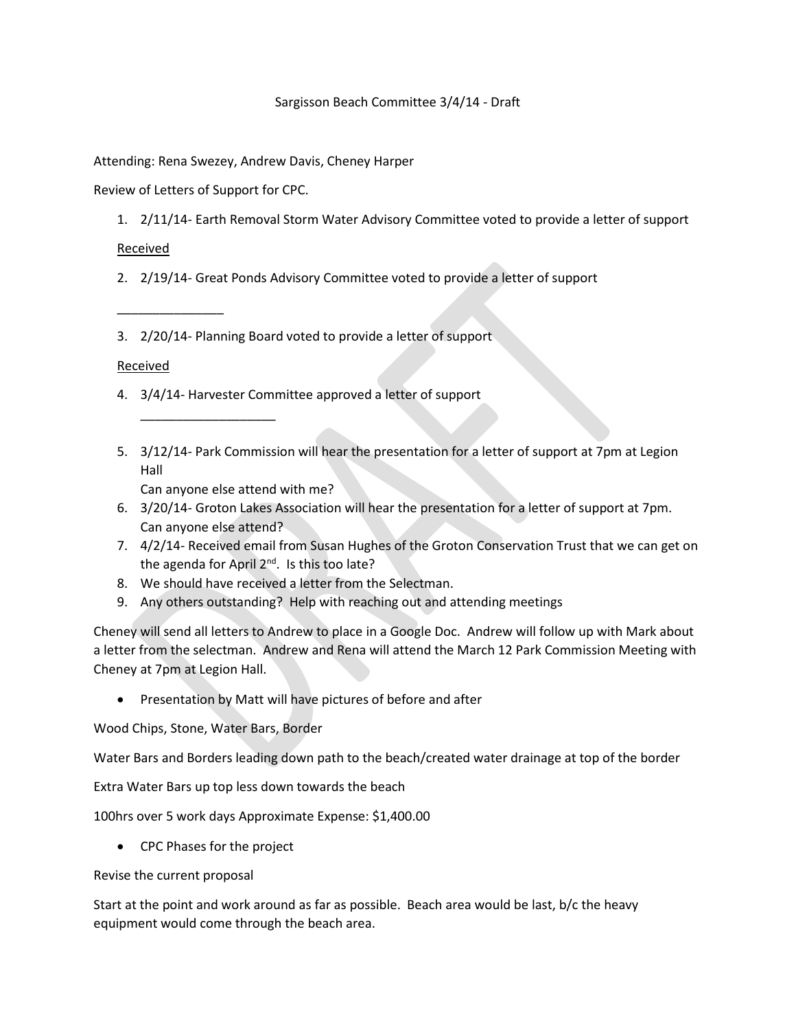## Sargisson Beach Committee 3/4/14 - Draft

## Attending: Rena Swezey, Andrew Davis, Cheney Harper

Review of Letters of Support for CPC.

1. 2/11/14- Earth Removal Storm Water Advisory Committee voted to provide a letter of support

Received

- 2. 2/19/14- Great Ponds Advisory Committee voted to provide a letter of support
- 3. 2/20/14- Planning Board voted to provide a letter of support

## Received

\_\_\_\_\_\_\_\_\_\_\_\_\_\_\_

- 4. 3/4/14- Harvester Committee approved a letter of support
- 5. 3/12/14- Park Commission will hear the presentation for a letter of support at 7pm at Legion Hall

Can anyone else attend with me?

\_\_\_\_\_\_\_\_\_\_\_\_\_\_\_\_\_\_\_

- 6. 3/20/14- Groton Lakes Association will hear the presentation for a letter of support at 7pm. Can anyone else attend?
- 7. 4/2/14- Received email from Susan Hughes of the Groton Conservation Trust that we can get on the agenda for April 2<sup>nd</sup>. Is this too late?
- 8. We should have received a letter from the Selectman.
- 9. Any others outstanding? Help with reaching out and attending meetings

Cheney will send all letters to Andrew to place in a Google Doc. Andrew will follow up with Mark about a letter from the selectman. Andrew and Rena will attend the March 12 Park Commission Meeting with Cheney at 7pm at Legion Hall.

• Presentation by Matt will have pictures of before and after

Wood Chips, Stone, Water Bars, Border

Water Bars and Borders leading down path to the beach/created water drainage at top of the border

Extra Water Bars up top less down towards the beach

100hrs over 5 work days Approximate Expense: \$1,400.00

CPC Phases for the project

Revise the current proposal

Start at the point and work around as far as possible. Beach area would be last, b/c the heavy equipment would come through the beach area.